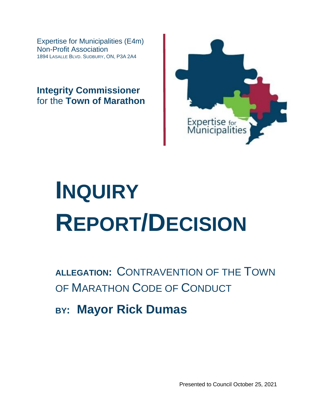Expertise for Municipalities (E4m) Non-Profit Association 1894 LASALLE BLVD. SUDBURY, ON, P3A 2A4

**Integrity Commissioner** for the **Town of Marathon**



# **INQUIRY REPORT/DECISION**

**ALLEGATION:** CONTRAVENTION OF THE TOWN OF MARATHON CODE OF CONDUCT

**BY: Mayor Rick Dumas**

Presented to Council October 25, 2021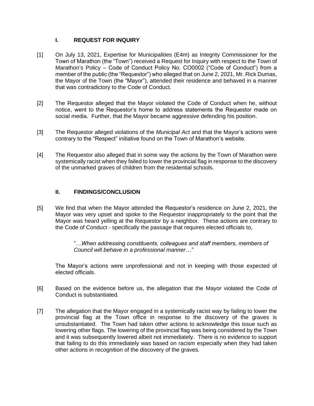## **I. REQUEST FOR INQUIRY**

- [1] On July 13, 2021, Expertise for Municipalities (E4m) as Integrity Commissioner for the Town of Marathon (the "Town") received a Request for Inquiry with respect to the Town of Marathon's Policy – Code of Conduct Policy No. CO0002 ("Code of Conduct") from a member of the public (the "Requestor") who alleged that on June 2, 2021, Mr. Rick Dumas, the Mayor of the Town (the "Mayor"), attended their residence and behaved in a manner that was contradictory to the Code of Conduct.
- [2] The Requestor alleged that the Mayor violated the Code of Conduct when he, without notice, went to the Requestor's home to address statements the Requestor made on social media. Further, that the Mayor became aggressive defending his position.
- [3] The Requestor alleged violations of the *Municipal Act* and that the Mayor's actions were contrary to the "Respect" initiative found on the Town of Marathon's website.
- [4] The Requestor also alleged that in some way the actions by the Town of Marathon were systemically racist when they failed to lower the provincial flag in response to the discovery of the unmarked graves of children from the residential schools.

# **II. FINDINGS/CONCLUSION**

[5] We find that when the Mayor attended the Requestor's residence on June 2, 2021, the Mayor was very upset and spoke to the Requestor inappropriately to the point that the Mayor was heard yelling at the Requestor by a neighbor. These actions are contrary to the Code of Conduct - specifically the passage that requires elected officials to,

> "*…When addressing constituents, colleagues and staff members, members of Council will behave in a professional manner…"*

The Mayor's actions were unprofessional and not in keeping with those expected of elected officials.

- [6] Based on the evidence before us, the allegation that the Mayor violated the Code of Conduct is substantiated.
- [7] The allegation that the Mayor engaged in a systemically racist way by failing to lower the provincial flag at the Town office in response to the discovery of the graves is unsubstantiated.The Town had taken other actions to acknowledge this issue such as lowering other flags. The lowering of the provincial flag was being considered by the Town and it was subsequently lowered albeit not immediately. There is no evidence to support that failing to do this immediately was based on racism especially when they had taken other actions in recognition of the discovery of the graves.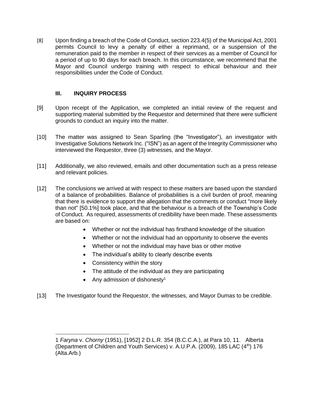[8] Upon finding a breach of the Code of Conduct, section 223.4(5) of the Municipal Act, 2001 permits Council to levy a penalty of either a reprimand, or a suspension of the remuneration paid to the member in respect of their services as a member of Council for a period of up to 90 days for each breach. In this circumstance, we recommend that the Mayor and Council undergo training with respect to ethical behaviour and their responsibilities under the Code of Conduct.

# **III. INQUIRY PROCESS**

- [9] Upon receipt of the Application, we completed an initial review of the request and supporting material submitted by the Requestor and determined that there were sufficient grounds to conduct an inquiry into the matter.
- [10] The matter was assigned to Sean Sparling (the "Investigator"), an investigator with Investigative Solutions Network Inc. ("ISN") as an agent of the Integrity Commissioner who interviewed the Requestor, three (3) witnesses, and the Mayor.
- [11] Additionally, we also reviewed, emails and other documentation such as a press release and relevant policies.
- [12] The conclusions we arrived at with respect to these matters are based upon the standard of a balance of probabilities. Balance of probabilities is a civil burden of proof, meaning that there is evidence to support the allegation that the comments or conduct "more likely than not" [50.1%] took place, and that the behaviour is a breach of the Township's Code of Conduct. As required, assessments of credibility have been made. These assessments are based on:
	- Whether or not the individual has firsthand knowledge of the situation
	- Whether or not the individual had an opportunity to observe the events
	- Whether or not the individual may have bias or other motive
	- The individual's ability to clearly describe events
	- Consistency within the story
	- The attitude of the individual as they are participating
	- Any admission of dishonesty<sup>1</sup>
- [13] The Investigator found the Requestor, the witnesses, and Mayor Dumas to be credible.

<sup>1</sup> *Faryna* v. *Chorny* (1951), [1952] 2 D.L.R. 354 (B.C.C.A.), at Para 10, 11. Alberta (Department of Children and Youth Services) v. A.U.P.A. (2009), 185 LAC  $(4<sup>th</sup>)$  176 (Alta.Arb.)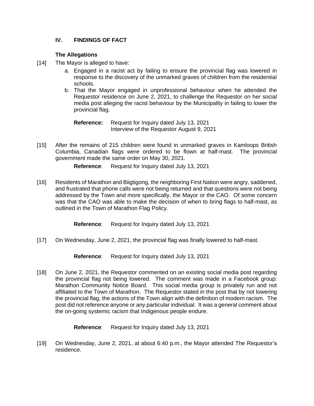# **IV. FINDINGS OF FACT**

## **The Allegations**

- [14] The Mayor is alleged to have:
	- a. Engaged in a racist act by failing to ensure the provincial flag was lowered in response to the discovery of the unmarked graves of children from the residential schools.
	- b. That the Mayor engaged in unprofessional behaviour when he attended the Requestor residence on June 2, 2021, to challenge the Requestor on her social media post alleging the racist behaviour by the Municipality in failing to lower the provincial flag.

**Reference:** Request for Inquiry dated July 13, 2021 Interview of the Requestor August 9, 2021

[15] After the remains of 215 children were found in unmarked graves in Kamloops British Columbia, Canadian flags were ordered to be flown at half-mast. The provincial government made the same order on May 30, 2021.

**Reference**: Request for Inquiry dated July 13, 2021

[16] Residents of Marathon and Biigtigong, the neighboring First Nation were angry, saddened, and frustrated that phone calls were not being returned and that questions were not being addressed by the Town and more specifically, the Mayor or the CAO. Of some concern was that the CAO was able to make the decision of when to bring flags to half-mast, as outlined in the Town of Marathon Flag Policy.

**Reference**: Request for Inquiry dated July 13, 2021

[17] On Wednesday, June 2, 2021, the provincial flag was finally lowered to half-mast.

**Reference**: Request for Inquiry dated July 13, 2021

[18] On June 2, 2021, the Requestor commented on an existing social media post regarding the provincial flag not being lowered. The comment was made in a Facebook group: Marathon Community Notice Board. This social media group is privately run and not affiliated to the Town of Marathon. The Requestor stated in the post that by not lowering the provincial flag, the actions of the Town align with the definition of modern racism. The post did not reference anyone or any particular individual. It was a general comment about the on-going systemic racism that Indigenous people endure.

**Reference**: Request for Inquiry dated July 13, 2021

[19] On Wednesday, June 2, 2021, at about 6:40 p.m., the Mayor attended The Requestor's residence.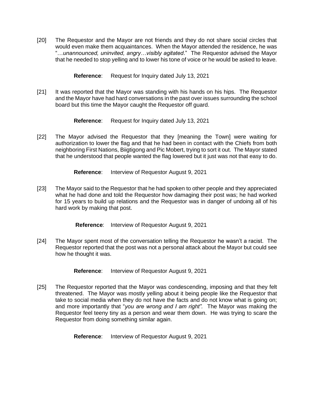[20] The Requestor and the Mayor are not friends and they do not share social circles that would even make them acquaintances. When the Mayor attended the residence, he was "…*unannounced, uninvited, angry…visibly agitated*." The Requestor advised the Mayor that he needed to stop yelling and to lower his tone of voice or he would be asked to leave.

**Reference**: Request for Inquiry dated July 13, 2021

[21] It was reported that the Mayor was standing with his hands on his hips. The Requestor and the Mayor have had hard conversations in the past over issues surrounding the school board but this time the Mayor caught the Requestor off guard.

**Reference**: Request for Inquiry dated July 13, 2021

[22] The Mayor advised the Requestor that they [meaning the Town] were waiting for authorization to lower the flag and that he had been in contact with the Chiefs from both neighboring First Nations, Biigtigong and Pic Mobert, trying to sort it out. The Mayor stated that he understood that people wanted the flag lowered but it just was not that easy to do.

**Reference**: Interview of Requestor August 9, 2021

[23] The Mayor said to the Requestor that he had spoken to other people and they appreciated what he had done and told the Requestor how damaging their post was; he had worked for 15 years to build up relations and the Requestor was in danger of undoing all of his hard work by making that post.

**Reference**: Interview of Requestor August 9, 2021

[24] The Mayor spent most of the conversation telling the Requestor he wasn't a racist. The Requestor reported that the post was not a personal attack about the Mayor but could see how he thought it was.

**Reference**: Interview of Requestor August 9, 2021

[25] The Requestor reported that the Mayor was condescending, imposing and that they felt threatened. The Mayor was mostly yelling about it being people like the Requestor that take to social media when they do not have the facts and do not know what is going on; and more importantly that "*you are wrong and I am right".* The Mayor was making the Requestor feel teeny tiny as a person and wear them down. He was trying to scare the Requestor from doing something similar again.

**Reference**: Interview of Requestor August 9, 2021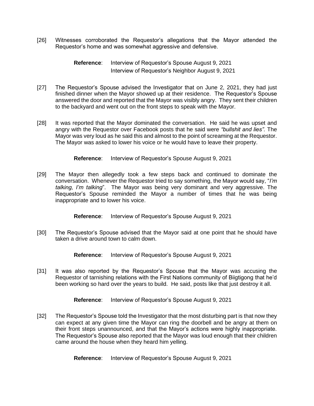[26] Witnesses corroborated the Requestor's allegations that the Mayor attended the Requestor's home and was somewhat aggressive and defensive.

> **Reference**: Interview of Requestor's Spouse August 9, 2021 Interview of Requestor's Neighbor August 9, 2021

- [27] The Requestor's Spouse advised the Investigator that on June 2, 2021, they had just finished dinner when the Mayor showed up at their residence. The Requestor's Spouse answered the door and reported that the Mayor was visibly angry. They sent their children to the backyard and went out on the front steps to speak with the Mayor.
- [28] It was reported that the Mayor dominated the conversation. He said he was upset and angry with the Requestor over Facebook posts that he said were *"bullshit and lies".* The Mayor was very loud as he said this and almost to the point of screaming at the Requestor. The Mayor was asked to lower his voice or he would have to leave their property.

**Reference**: Interview of Requestor's Spouse August 9, 2021

[29] The Mayor then allegedly took a few steps back and continued to dominate the conversation. Whenever the Requestor tried to say something, the Mayor would say, "*I'm talking, I'm talking*". The Mayor was being very dominant and very aggressive. The Requestor's Spouse reminded the Mayor a number of times that he was being inappropriate and to lower his voice.

**Reference**: Interview of Requestor's Spouse August 9, 2021

[30] The Requestor's Spouse advised that the Mayor said at one point that he should have taken a drive around town to calm down.

**Reference**: Interview of Requestor's Spouse August 9, 2021

[31] It was also reported by the Requestor's Spouse that the Mayor was accusing the Requestor of tarnishing relations with the First Nations community of Biigtigong that he'd been working so hard over the years to build. He said, posts like that just destroy it all.

**Reference**: Interview of Requestor's Spouse August 9, 2021

[32] The Requestor's Spouse told the Investigator that the most disturbing part is that now they can expect at any given time the Mayor can ring the doorbell and be angry at them on their front steps unannounced, and that the Mayor's actions were highly inappropriate. The Requestor's Spouse also reported that the Mayor was loud enough that their children came around the house when they heard him yelling.

**Reference**: Interview of Requestor's Spouse August 9, 2021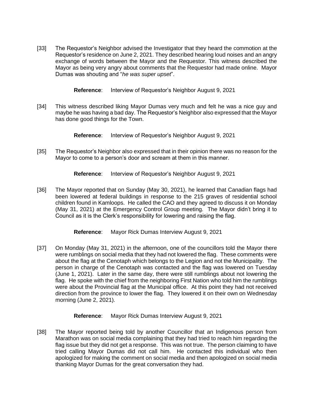[33] The Requestor's Neighbor advised the Investigator that they heard the commotion at the Requestor's residence on June 2, 2021. They described hearing loud noises and an angry exchange of words between the Mayor and the Requestor. This witness described the Mayor as being very angry about comments that the Requestor had made online. Mayor Dumas was shouting and "*he was super upset*".

**Reference**: Interview of Requestor's Neighbor August 9, 2021

[34] This witness described liking Mayor Dumas very much and felt he was a nice guy and maybe he was having a bad day. The Requestor's Neighbor also expressed that the Mayor has done good things for the Town.

**Reference**: Interview of Requestor's Neighbor August 9, 2021

[35] The Requestor's Neighbor also expressed that in their opinion there was no reason for the Mayor to come to a person's door and scream at them in this manner.

**Reference**: Interview of Requestor's Neighbor August 9, 2021

[36] The Mayor reported that on Sunday (May 30, 2021), he learned that Canadian flags had been lowered at federal buildings in response to the 215 graves of residential school children found in Kamloops. He called the CAO and they agreed to discuss it on Monday (May 31, 2021) at the Emergency Control Group meeting. The Mayor didn't bring it to Council as it is the Clerk's responsibility for lowering and raising the flag.

**Reference**: Mayor Rick Dumas Interview August 9, 2021

[37] On Monday (May 31, 2021) in the afternoon, one of the councillors told the Mayor there were rumblings on social media that they had not lowered the flag. These comments were about the flag at the Cenotaph which belongs to the Legion and not the Municipality. The person in charge of the Cenotaph was contacted and the flag was lowered on Tuesday (June 1, 2021). Later in the same day, there were still rumblings about not lowering the flag. He spoke with the chief from the neighboring First Nation who told him the rumblings were about the Provincial flag at the Municipal office. At this point they had not received direction from the province to lower the flag. They lowered it on their own on Wednesday morning (June 2, 2021).

**Reference**: Mayor Rick Dumas Interview August 9, 2021

[38] The Mayor reported being told by another Councillor that an Indigenous person from Marathon was on social media complaining that they had tried to reach him regarding the flag issue but they did not get a response. This was not true. The person claiming to have tried calling Mayor Dumas did not call him. He contacted this individual who then apologized for making the comment on social media and then apologized on social media thanking Mayor Dumas for the great conversation they had.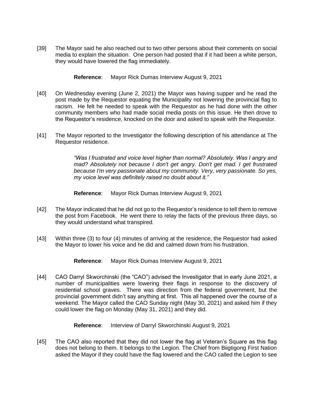[39] The Mayor said he also reached out to two other persons about their comments on social media to explain the situation. One person had posted that if it had been a white person, they would have lowered the flag immediately.

**Reference**: Mayor Rick Dumas Interview August 9, 2021

- [40] On Wednesday evening (June 2, 2021) the Mayor was having supper and he read the post made by the Requestor equating the Municipality not lowering the provincial flag to racism. He felt he needed to speak with the Requestor as he had done with the other community members who had made social media posts on this issue. He then drove to the Requestor's residence, knocked on the door and asked to speak with the Requestor.
- [41] The Mayor reported to the Investigator the following description of his attendance at The Requestor residence.

*"Was I frustrated and voice level higher than normal? Absolutely. Was I angry and mad? Absolutely not because I don't get angry. Don't get mad. I get frustrated because I'm very passionate about my community. Very, very passionate. So yes, my voice level was definitely raised no doubt about it."*

**Reference**: Mayor Rick Dumas Interview August 9, 2021

- [42] The Mayor indicated that he did not go to the Requestor's residence to tell them to remove the post from Facebook. He went there to relay the facts of the previous three days, so they would understand what transpired.
- [43] Within three (3) to four (4) minutes of arriving at the residence, the Requestor had asked the Mayor to lower his voice and he did and calmed down from his frustration.

**Reference**: Mayor Rick Dumas Interview August 9, 2021

[44] CAO Darryl Skworchinski (the "CAO") advised the Investigator that in early June 2021, a number of municipalities were lowering their flags in response to the discovery of residential school graves. There was direction from the federal government, but the provincial government didn't say anything at first. This all happened over the course of a weekend. The Mayor called the CAO Sunday night (May 30, 2021) and asked him if they could lower the flag on Monday (May 31, 2021) and they did.

**Reference**: Interview of Darryl Skworchinski August 9, 2021

[45] The CAO also reported that they did not lower the flag at Veteran's Square as this flag does not belong to them. It belongs to the Legion. The Chief from Biigtigong First Nation asked the Mayor if they could have the flag lowered and the CAO called the Legion to see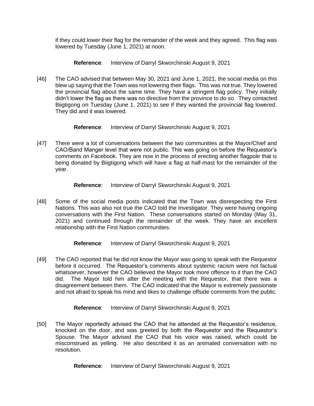if they could lower their flag for the remainder of the week and they agreed. This flag was lowered by Tuesday (June 1, 2021) at noon.

#### **Reference**: Interview of Darryl Skworchinski August 9, 2021

[46] The CAO advised that between May 30, 2021 and June 1, 2021, the social media on this blew up saying that the Town was not lowering their flags. This was not true. They lowered the provincial flag about the same time. They have a stringent flag policy. They initially didn't lower the flag as there was no directive from the province to do so. They contacted Biigtigong on Tuesday (June 1, 2021) to see if they wanted the provincial flag lowered. They did and it was lowered.

**Reference**: Interview of Darryl Skworchinski August 9, 2021

[47] There were a lot of conversations between the two communities at the Mayor/Chief and CAO/Band Manger level that were not public. This was going on before the Requestor's comments on Facebook. They are now in the process of erecting another flagpole that is being donated by Biigtigong which will have a flag at half-mast for the remainder of the year.

**Reference**: Interview of Darryl Skworchinski August 9, 2021

[48] Some of the social media posts indicated that the Town was disrespecting the First Nations. This was also not true the CAO told the Investigator. They were having ongoing conversations with the First Nation. These conversations started on Monday (May 31, 2021) and continued through the remainder of the week. They have an excellent relationship with the First Nation communities.

**Reference**: Interview of Darryl Skworchinski August 9, 2021

[49] The CAO reported that he did not know the Mayor was going to speak with the Requestor before it occurred. The Requestor's comments about systemic racism were not factual whatsoever, however the CAO believed the Mayor took more offence to it than the CAO did. The Mayor told him after the meeting with the Requestor, that there was a disagreement between them. The CAO indicated that the Mayor is extremely passionate and not afraid to speak his mind and likes to challenge offside comments from the public.

**Reference**: Interview of Darryl Skworchinski August 9, 2021

[50] The Mayor reportedly advised the CAO that he attended at the Requestor's residence, knocked on the door, and was greeted by both the Requestor and the Requestor's Spouse. The Mayor advised the CAO that his voice was raised, which could be misconstrued as yelling. He also described it as an animated conversation with no resolution.

**Reference**: Interview of Darryl Skworchinski August 9, 2021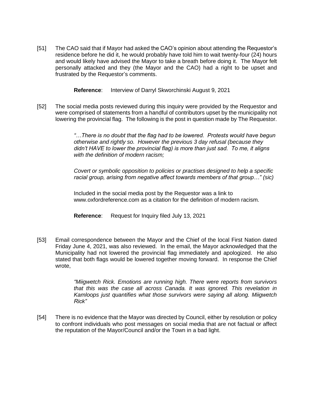[51] The CAO said that if Mayor had asked the CAO's opinion about attending the Requestor's residence before he did it, he would probably have told him to wait twenty-four (24) hours and would likely have advised the Mayor to take a breath before doing it. The Mayor felt personally attacked and they (the Mayor and the CAO) had a right to be upset and frustrated by the Requestor's comments.

**Reference**: Interview of Darryl Skworchinski August 9, 2021

[52] The social media posts reviewed during this inquiry were provided by the Requestor and were comprised of statements from a handful of contributors upset by the municipality not lowering the provincial flag. The following is the post in question made by The Requestor.

> *"…There is no doubt that the flag had to be lowered. Protests would have begun otherwise and rightly so. However the previous 3 day refusal (because they didn't HAVE to lower the provincial flag) is more than just sad. To me, it aligns with the definition of modern racism;*

> *Covert or symbolic opposition to policies or practises designed to help a specific racial group, arising from negative affect towards members of that group…" (sic)*

Included in the social media post by the Requestor was a link to www.oxfordreference.com as a citation for the definition of modern racism.

**Reference**: Request for Inquiry filed July 13, 2021

[53] Email correspondence between the Mayor and the Chief of the local First Nation dated Friday June 4, 2021, was also reviewed. In the email, the Mayor acknowledged that the Municipality had not lowered the provincial flag immediately and apologized. He also stated that both flags would be lowered together moving forward. In response the Chief wrote,

> *"Miigwetch Rick. Emotions are running high. There were reports from survivors that this was the case all across Canada. It was ignored. This revelation in Kamloops just quantifies what those survivors were saying all along. Miigwetch Rick"*

[54] There is no evidence that the Mayor was directed by Council, either by resolution or policy to confront individuals who post messages on social media that are not factual or affect the reputation of the Mayor/Council and/or the Town in a bad light.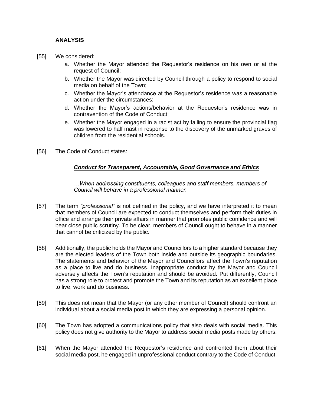#### **ANALYSIS**

- [55] We considered:
	- a. Whether the Mayor attended the Requestor's residence on his own or at the request of Council;
	- b. Whether the Mayor was directed by Council through a policy to respond to social media on behalf of the Town;
	- c. Whether the Mayor's attendance at the Requestor's residence was a reasonable action under the circumstances;
	- d. Whether the Mayor's actions/behavior at the Requestor's residence was in contravention of the Code of Conduct;
	- e. Whether the Mayor engaged in a racist act by failing to ensure the provincial flag was lowered to half mast in response to the discovery of the unmarked graves of children from the residential schools.
- [56] The Code of Conduct states:

#### *Conduct for Transparent, Accountable, Good Governance and Ethics*

*…When addressing constituents, colleagues and staff members, members of Council will behave in a professional manner.*

- [57] The term *"professional"* is not defined in the policy, and we have interpreted it to mean that members of Council are expected to conduct themselves and perform their duties in office and arrange their private affairs in manner that promotes public confidence and will bear close public scrutiny. To be clear, members of Council ought to behave in a manner that cannot be criticized by the public.
- [58] Additionally, the public holds the Mayor and Councillors to a higher standard because they are the elected leaders of the Town both inside and outside its geographic boundaries. The statements and behavior of the Mayor and Councillors affect the Town's reputation as a place to live and do business. Inappropriate conduct by the Mayor and Council adversely affects the Town's reputation and should be avoided. Put differently, Council has a strong role to protect and promote the Town and its reputation as an excellent place to live, work and do business.
- [59] This does not mean that the Mayor (or any other member of Council) should confront an individual about a social media post in which they are expressing a personal opinion.
- [60] The Town has adopted a communications policy that also deals with social media. This policy does not give authority to the Mayor to address social media posts made by others.
- [61] When the Mayor attended the Requestor's residence and confronted them about their social media post, he engaged in unprofessional conduct contrary to the Code of Conduct.